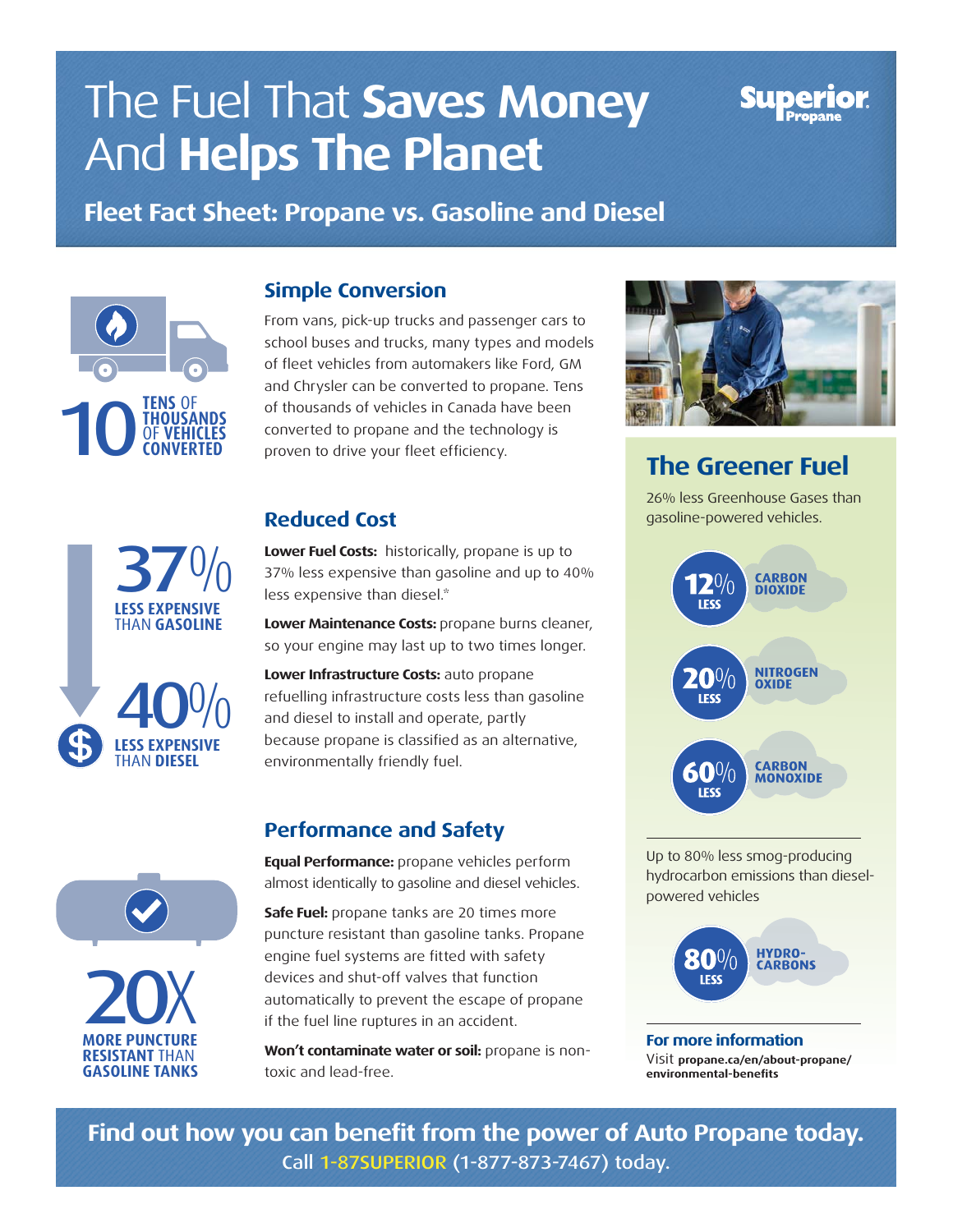# The Fuel That **Saves Money**  And **Helps The Planet**

**Fleet Fact Sheet: Propane vs. Gasoline and Diesel**



# **LESS EXPENSIVE** THAN **GASOLINE LESS EXPENSIVE 37%** 40%

THAN **DIESEL**



**RESISTANT** THAN **GASOLINE TANKS**

#### **Simple Conversion**

From vans, pick-up trucks and passenger cars to school buses and trucks, many types and models of fleet vehicles from automakers like Ford, GM and Chrysler can be converted to propane. Tens of thousands of vehicles in Canada have been converted to propane and the technology is proven to drive your fleet efficiency.

## **Reduced Cost**

**Lower Fuel Costs:** historically, propane is up to 37% less expensive than gasoline and up to 40% less expensive than diesel.\*

**Lower Maintenance Costs:** propane burns cleaner, so your engine may last up to two times longer.

**Lower Infrastructure Costs:** auto propane refuelling infrastructure costs less than gasoline and diesel to install and operate, partly because propane is classified as an alternative, environmentally friendly fuel.

### **Performance and Safety**

**Equal Performance:** propane vehicles perform almost identically to gasoline and diesel vehicles.

**Safe Fuel:** propane tanks are 20 times more puncture resistant than gasoline tanks. Propane engine fuel systems are fitted with safety devices and shut-off valves that function automatically to prevent the escape of propane if the fuel line ruptures in an accident.

**Won't contaminate water or soil:** propane is nontoxic and lead-free.



# **The Greener Fuel**

26% less Greenhouse Gases than gasoline-powered vehicles.



Up to 80% less smog-producing hydrocarbon emissions than dieselpowered vehicles



**For more information** Visit **propane.ca/en/about-propane/ environmental-benefits**

**Find out how you can benefit from the power of Auto Propane today.**  Call 1-87SUPERIOR (1-877-873-7467) today.